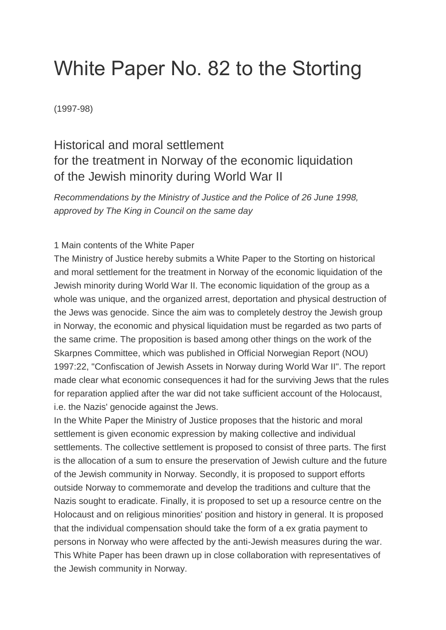# White Paper No. 82 to the Storting

(1997-98)

# Historical and moral settlement for the treatment in Norway of the economic liquidation of the Jewish minority during World War II

*Recommendations by the Ministry of Justice and the Police of 26 June 1998, approved by The King in Council on the same day*

1 Main contents of the White Paper

The Ministry of Justice hereby submits a White Paper to the Storting on historical and moral settlement for the treatment in Norway of the economic liquidation of the Jewish minority during World War II. The economic liquidation of the group as a whole was unique, and the organized arrest, deportation and physical destruction of the Jews was genocide. Since the aim was to completely destroy the Jewish group in Norway, the economic and physical liquidation must be regarded as two parts of the same crime. The proposition is based among other things on the work of the Skarpnes Committee, which was published in Official Norwegian Report (NOU) 1997:22, "Confiscation of Jewish Assets in Norway during World War II". The report made clear what economic consequences it had for the surviving Jews that the rules for reparation applied after the war did not take sufficient account of the Holocaust, i.e. the Nazis' genocide against the Jews.

In the White Paper the Ministry of Justice proposes that the historic and moral settlement is given economic expression by making collective and individual settlements. The collective settlement is proposed to consist of three parts. The first is the allocation of a sum to ensure the preservation of Jewish culture and the future of the Jewish community in Norway. Secondly, it is proposed to support efforts outside Norway to commemorate and develop the traditions and culture that the Nazis sought to eradicate. Finally, it is proposed to set up a resource centre on the Holocaust and on religious minorities' position and history in general. It is proposed that the individual compensation should take the form of a ex gratia payment to persons in Norway who were affected by the anti-Jewish measures during the war. This White Paper has been drawn up in close collaboration with representatives of the Jewish community in Norway.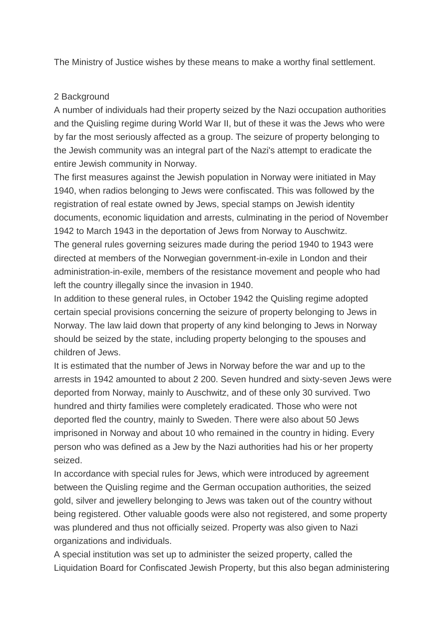The Ministry of Justice wishes by these means to make a worthy final settlement.

## 2 Background

A number of individuals had their property seized by the Nazi occupation authorities and the Quisling regime during World War II, but of these it was the Jews who were by far the most seriously affected as a group. The seizure of property belonging to the Jewish community was an integral part of the Nazi's attempt to eradicate the entire Jewish community in Norway.

The first measures against the Jewish population in Norway were initiated in May 1940, when radios belonging to Jews were confiscated. This was followed by the registration of real estate owned by Jews, special stamps on Jewish identity documents, economic liquidation and arrests, culminating in the period of November 1942 to March 1943 in the deportation of Jews from Norway to Auschwitz. The general rules governing seizures made during the period 1940 to 1943 were directed at members of the Norwegian government-in-exile in London and their administration-in-exile, members of the resistance movement and people who had left the country illegally since the invasion in 1940.

In addition to these general rules, in October 1942 the Quisling regime adopted certain special provisions concerning the seizure of property belonging to Jews in Norway. The law laid down that property of any kind belonging to Jews in Norway should be seized by the state, including property belonging to the spouses and children of Jews.

It is estimated that the number of Jews in Norway before the war and up to the arrests in 1942 amounted to about 2 200. Seven hundred and sixty-seven Jews were deported from Norway, mainly to Auschwitz, and of these only 30 survived. Two hundred and thirty families were completely eradicated. Those who were not deported fled the country, mainly to Sweden. There were also about 50 Jews imprisoned in Norway and about 10 who remained in the country in hiding. Every person who was defined as a Jew by the Nazi authorities had his or her property seized.

In accordance with special rules for Jews, which were introduced by agreement between the Quisling regime and the German occupation authorities, the seized gold, silver and jewellery belonging to Jews was taken out of the country without being registered. Other valuable goods were also not registered, and some property was plundered and thus not officially seized. Property was also given to Nazi organizations and individuals.

A special institution was set up to administer the seized property, called the Liquidation Board for Confiscated Jewish Property, but this also began administering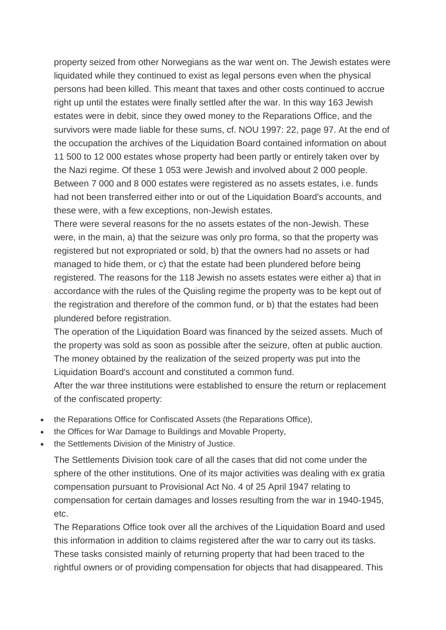property seized from other Norwegians as the war went on. The Jewish estates were liquidated while they continued to exist as legal persons even when the physical persons had been killed. This meant that taxes and other costs continued to accrue right up until the estates were finally settled after the war. In this way 163 Jewish estates were in debit, since they owed money to the Reparations Office, and the survivors were made liable for these sums, cf. NOU 1997: 22, page 97. At the end of the occupation the archives of the Liquidation Board contained information on about 11 500 to 12 000 estates whose property had been partly or entirely taken over by the Nazi regime. Of these 1 053 were Jewish and involved about 2 000 people. Between 7 000 and 8 000 estates were registered as no assets estates, i.e. funds had not been transferred either into or out of the Liquidation Board's accounts, and these were, with a few exceptions, non-Jewish estates.

There were several reasons for the no assets estates of the non-Jewish. These were, in the main, a) that the seizure was only pro forma, so that the property was registered but not expropriated or sold, b) that the owners had no assets or had managed to hide them, or c) that the estate had been plundered before being registered. The reasons for the 118 Jewish no assets estates were either a) that in accordance with the rules of the Quisling regime the property was to be kept out of the registration and therefore of the common fund, or b) that the estates had been plundered before registration.

The operation of the Liquidation Board was financed by the seized assets. Much of the property was sold as soon as possible after the seizure, often at public auction. The money obtained by the realization of the seized property was put into the Liquidation Board's account and constituted a common fund.

After the war three institutions were established to ensure the return or replacement of the confiscated property:

- the Reparations Office for Confiscated Assets (the Reparations Office),
- the Offices for War Damage to Buildings and Movable Property,
- the Settlements Division of the Ministry of Justice.

The Settlements Division took care of all the cases that did not come under the sphere of the other institutions. One of its major activities was dealing with ex gratia compensation pursuant to Provisional Act No. 4 of 25 April 1947 relating to compensation for certain damages and losses resulting from the war in 1940-1945, etc.

The Reparations Office took over all the archives of the Liquidation Board and used this information in addition to claims registered after the war to carry out its tasks. These tasks consisted mainly of returning property that had been traced to the rightful owners or of providing compensation for objects that had disappeared. This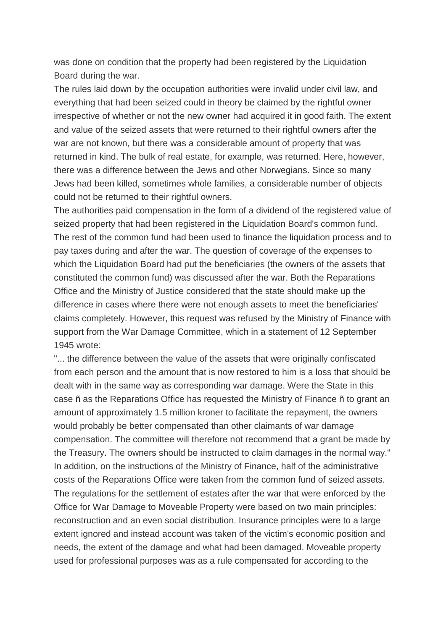was done on condition that the property had been registered by the Liquidation Board during the war.

The rules laid down by the occupation authorities were invalid under civil law, and everything that had been seized could in theory be claimed by the rightful owner irrespective of whether or not the new owner had acquired it in good faith. The extent and value of the seized assets that were returned to their rightful owners after the war are not known, but there was a considerable amount of property that was returned in kind. The bulk of real estate, for example, was returned. Here, however, there was a difference between the Jews and other Norwegians. Since so many Jews had been killed, sometimes whole families, a considerable number of objects could not be returned to their rightful owners.

The authorities paid compensation in the form of a dividend of the registered value of seized property that had been registered in the Liquidation Board's common fund. The rest of the common fund had been used to finance the liquidation process and to pay taxes during and after the war. The question of coverage of the expenses to which the Liquidation Board had put the beneficiaries (the owners of the assets that constituted the common fund) was discussed after the war. Both the Reparations Office and the Ministry of Justice considered that the state should make up the difference in cases where there were not enough assets to meet the beneficiaries' claims completely. However, this request was refused by the Ministry of Finance with support from the War Damage Committee, which in a statement of 12 September 1945 wrote:

"... the difference between the value of the assets that were originally confiscated from each person and the amount that is now restored to him is a loss that should be dealt with in the same way as corresponding war damage. Were the State in this case ñ as the Reparations Office has requested the Ministry of Finance ñ to grant an amount of approximately 1.5 million kroner to facilitate the repayment, the owners would probably be better compensated than other claimants of war damage compensation. The committee will therefore not recommend that a grant be made by the Treasury. The owners should be instructed to claim damages in the normal way." In addition, on the instructions of the Ministry of Finance, half of the administrative costs of the Reparations Office were taken from the common fund of seized assets. The regulations for the settlement of estates after the war that were enforced by the Office for War Damage to Moveable Property were based on two main principles: reconstruction and an even social distribution. Insurance principles were to a large extent ignored and instead account was taken of the victim's economic position and needs, the extent of the damage and what had been damaged. Moveable property used for professional purposes was as a rule compensated for according to the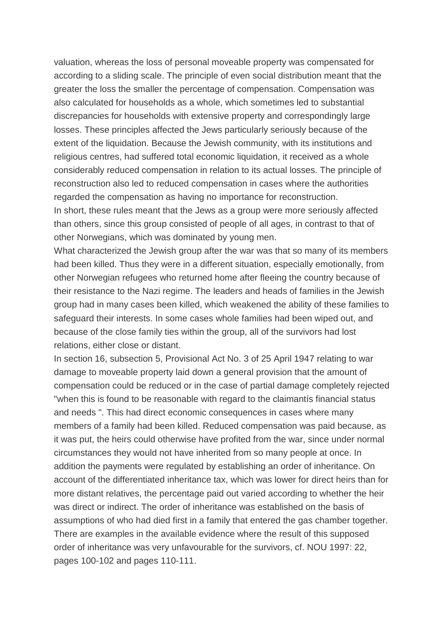valuation, whereas the loss of personal moveable property was compensated for according to a sliding scale. The principle of even social distribution meant that the greater the loss the smaller the percentage of compensation. Compensation was also calculated for households as a whole, which sometimes led to substantial discrepancies for households with extensive property and correspondingly large losses. These principles affected the Jews particularly seriously because of the extent of the liquidation. Because the Jewish community, with its institutions and religious centres, had suffered total economic liquidation, it received as a whole considerably reduced compensation in relation to its actual losses. The principle of reconstruction also led to reduced compensation in cases where the authorities regarded the compensation as having no importance for reconstruction.

In short, these rules meant that the Jews as a group were more seriously affected than others, since this group consisted of people of all ages, in contrast to that of other Norwegians, which was dominated by young men.

What characterized the Jewish group after the war was that so many of its members had been killed. Thus they were in a different situation, especially emotionally, from other Norwegian refugees who returned home after fleeing the country because of their resistance to the Nazi regime. The leaders and heads of families in the Jewish group had in many cases been killed, which weakened the ability of these families to safeguard their interests. In some cases whole families had been wiped out, and because of the close family ties within the group, all of the survivors had lost relations, either close or distant.

In section 16, subsection 5, Provisional Act No. 3 of 25 April 1947 relating to war damage to moveable property laid down a general provision that the amount of compensation could be reduced or in the case of partial damage completely rejected "when this is found to be reasonable with regard to the claimantís financial status and needs ". This had direct economic consequences in cases where many members of a family had been killed. Reduced compensation was paid because, as it was put, the heirs could otherwise have profited from the war, since under normal circumstances they would not have inherited from so many people at once. In addition the payments were regulated by establishing an order of inheritance. On account of the differentiated inheritance tax, which was lower for direct heirs than for more distant relatives, the percentage paid out varied according to whether the heir was direct or indirect. The order of inheritance was established on the basis of assumptions of who had died first in a family that entered the gas chamber together. There are examples in the available evidence where the result of this supposed order of inheritance was very unfavourable for the survivors, cf. NOU 1997: 22, pages 100-102 and pages 110-111.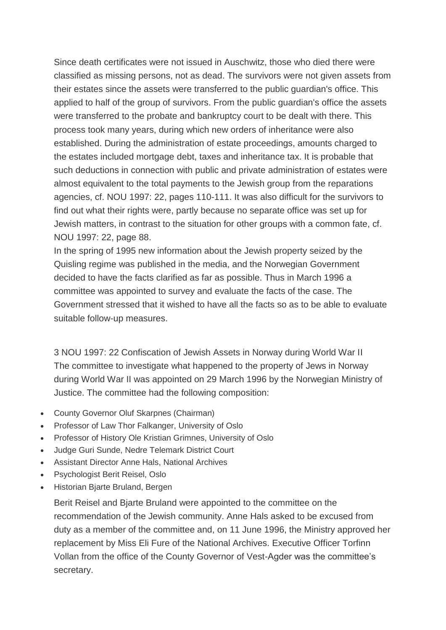Since death certificates were not issued in Auschwitz, those who died there were classified as missing persons, not as dead. The survivors were not given assets from their estates since the assets were transferred to the public guardian's office. This applied to half of the group of survivors. From the public guardian's office the assets were transferred to the probate and bankruptcy court to be dealt with there. This process took many years, during which new orders of inheritance were also established. During the administration of estate proceedings, amounts charged to the estates included mortgage debt, taxes and inheritance tax. It is probable that such deductions in connection with public and private administration of estates were almost equivalent to the total payments to the Jewish group from the reparations agencies, cf. NOU 1997: 22, pages 110-111. It was also difficult for the survivors to find out what their rights were, partly because no separate office was set up for Jewish matters, in contrast to the situation for other groups with a common fate, cf. NOU 1997: 22, page 88.

In the spring of 1995 new information about the Jewish property seized by the Quisling regime was published in the media, and the Norwegian Government decided to have the facts clarified as far as possible. Thus in March 1996 a committee was appointed to survey and evaluate the facts of the case. The Government stressed that it wished to have all the facts so as to be able to evaluate suitable follow-up measures.

3 NOU 1997: 22 Confiscation of Jewish Assets in Norway during World War II The committee to investigate what happened to the property of Jews in Norway during World War II was appointed on 29 March 1996 by the Norwegian Ministry of Justice. The committee had the following composition:

- County Governor Oluf Skarpnes (Chairman)
- Professor of Law Thor Falkanger, University of Oslo
- Professor of History Ole Kristian Grimnes, University of Oslo
- Judge Guri Sunde, Nedre Telemark District Court
- Assistant Director Anne Hals, National Archives
- Psychologist Berit Reisel, Oslo
- Historian Bjarte Bruland, Bergen

Berit Reisel and Bjarte Bruland were appointed to the committee on the recommendation of the Jewish community. Anne Hals asked to be excused from duty as a member of the committee and, on 11 June 1996, the Ministry approved her replacement by Miss Eli Fure of the National Archives. Executive Officer Torfinn Vollan from the office of the County Governor of Vest-Agder was the committee's secretary.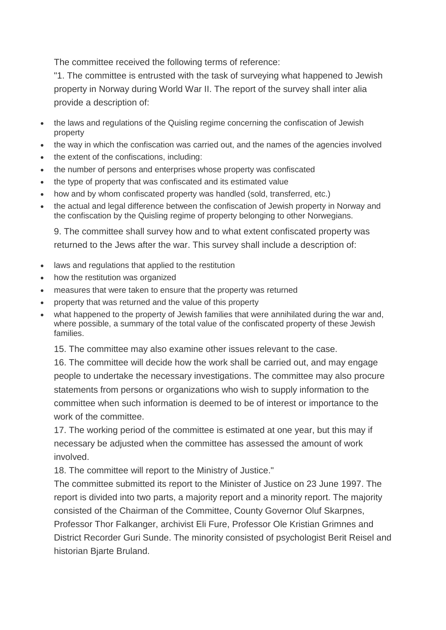The committee received the following terms of reference:

"1. The committee is entrusted with the task of surveying what happened to Jewish property in Norway during World War II. The report of the survey shall inter alia provide a description of:

- the laws and regulations of the Quisling regime concerning the confiscation of Jewish property
- the way in which the confiscation was carried out, and the names of the agencies involved
- the extent of the confiscations, including:
- the number of persons and enterprises whose property was confiscated
- the type of property that was confiscated and its estimated value
- how and by whom confiscated property was handled (sold, transferred, etc.)
- the actual and legal difference between the confiscation of Jewish property in Norway and the confiscation by the Quisling regime of property belonging to other Norwegians.

9. The committee shall survey how and to what extent confiscated property was returned to the Jews after the war. This survey shall include a description of:

- laws and regulations that applied to the restitution
- how the restitution was organized
- measures that were taken to ensure that the property was returned
- property that was returned and the value of this property
- what happened to the property of Jewish families that were annihilated during the war and, where possible, a summary of the total value of the confiscated property of these Jewish families.

15. The committee may also examine other issues relevant to the case.

16. The committee will decide how the work shall be carried out, and may engage people to undertake the necessary investigations. The committee may also procure statements from persons or organizations who wish to supply information to the committee when such information is deemed to be of interest or importance to the work of the committee.

17. The working period of the committee is estimated at one year, but this may if necessary be adjusted when the committee has assessed the amount of work involved.

18. The committee will report to the Ministry of Justice."

The committee submitted its report to the Minister of Justice on 23 June 1997. The report is divided into two parts, a majority report and a minority report. The majority consisted of the Chairman of the Committee, County Governor Oluf Skarpnes, Professor Thor Falkanger, archivist Eli Fure, Professor Ole Kristian Grimnes and District Recorder Guri Sunde. The minority consisted of psychologist Berit Reisel and historian Bjarte Bruland.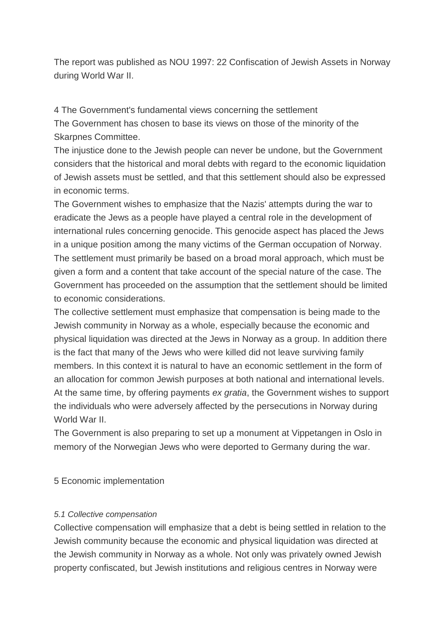The report was published as NOU 1997: 22 Confiscation of Jewish Assets in Norway during World War II.

4 The Government's fundamental views concerning the settlement The Government has chosen to base its views on those of the minority of the Skarpnes Committee.

The injustice done to the Jewish people can never be undone, but the Government considers that the historical and moral debts with regard to the economic liquidation of Jewish assets must be settled, and that this settlement should also be expressed in economic terms.

The Government wishes to emphasize that the Nazis' attempts during the war to eradicate the Jews as a people have played a central role in the development of international rules concerning genocide. This genocide aspect has placed the Jews in a unique position among the many victims of the German occupation of Norway. The settlement must primarily be based on a broad moral approach, which must be given a form and a content that take account of the special nature of the case. The Government has proceeded on the assumption that the settlement should be limited to economic considerations.

The collective settlement must emphasize that compensation is being made to the Jewish community in Norway as a whole, especially because the economic and physical liquidation was directed at the Jews in Norway as a group. In addition there is the fact that many of the Jews who were killed did not leave surviving family members. In this context it is natural to have an economic settlement in the form of an allocation for common Jewish purposes at both national and international levels. At the same time, by offering payments *ex gratia*, the Government wishes to support the individuals who were adversely affected by the persecutions in Norway during World War II.

The Government is also preparing to set up a monument at Vippetangen in Oslo in memory of the Norwegian Jews who were deported to Germany during the war.

5 Economic implementation

#### *5.1 Collective compensation*

Collective compensation will emphasize that a debt is being settled in relation to the Jewish community because the economic and physical liquidation was directed at the Jewish community in Norway as a whole. Not only was privately owned Jewish property confiscated, but Jewish institutions and religious centres in Norway were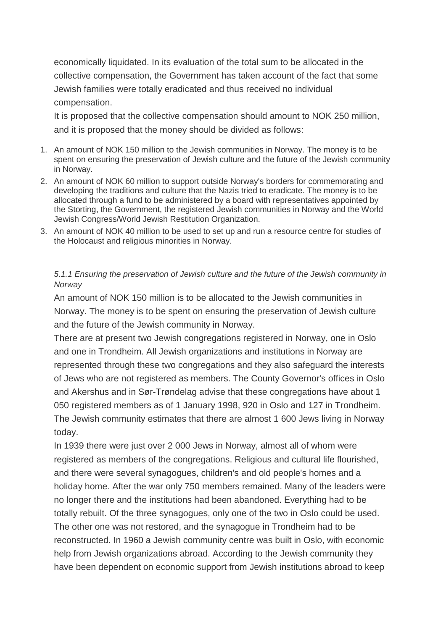economically liquidated. In its evaluation of the total sum to be allocated in the collective compensation, the Government has taken account of the fact that some Jewish families were totally eradicated and thus received no individual compensation.

It is proposed that the collective compensation should amount to NOK 250 million, and it is proposed that the money should be divided as follows:

- 1. An amount of NOK 150 million to the Jewish communities in Norway. The money is to be spent on ensuring the preservation of Jewish culture and the future of the Jewish community in Norway.
- 2. An amount of NOK 60 million to support outside Norway's borders for commemorating and developing the traditions and culture that the Nazis tried to eradicate. The money is to be allocated through a fund to be administered by a board with representatives appointed by the Storting, the Government, the registered Jewish communities in Norway and the World Jewish Congress/World Jewish Restitution Organization.
- 3. An amount of NOK 40 million to be used to set up and run a resource centre for studies of the Holocaust and religious minorities in Norway.

#### *5.1.1 Ensuring the preservation of Jewish culture and the future of the Jewish community in Norway*

An amount of NOK 150 million is to be allocated to the Jewish communities in Norway. The money is to be spent on ensuring the preservation of Jewish culture and the future of the Jewish community in Norway.

There are at present two Jewish congregations registered in Norway, one in Oslo and one in Trondheim. All Jewish organizations and institutions in Norway are represented through these two congregations and they also safeguard the interests of Jews who are not registered as members. The County Governor's offices in Oslo and Akershus and in Sør-Trøndelag advise that these congregations have about 1 050 registered members as of 1 January 1998, 920 in Oslo and 127 in Trondheim. The Jewish community estimates that there are almost 1 600 Jews living in Norway today.

In 1939 there were just over 2 000 Jews in Norway, almost all of whom were registered as members of the congregations. Religious and cultural life flourished, and there were several synagogues, children's and old people's homes and a holiday home. After the war only 750 members remained. Many of the leaders were no longer there and the institutions had been abandoned. Everything had to be totally rebuilt. Of the three synagogues, only one of the two in Oslo could be used. The other one was not restored, and the synagogue in Trondheim had to be reconstructed. In 1960 a Jewish community centre was built in Oslo, with economic help from Jewish organizations abroad. According to the Jewish community they have been dependent on economic support from Jewish institutions abroad to keep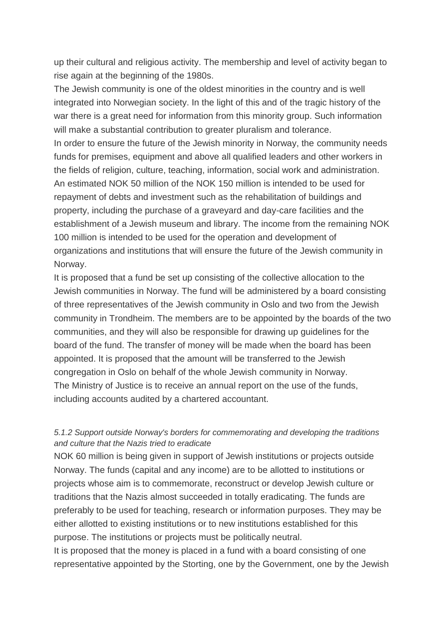up their cultural and religious activity. The membership and level of activity began to rise again at the beginning of the 1980s.

The Jewish community is one of the oldest minorities in the country and is well integrated into Norwegian society. In the light of this and of the tragic history of the war there is a great need for information from this minority group. Such information will make a substantial contribution to greater pluralism and tolerance.

In order to ensure the future of the Jewish minority in Norway, the community needs funds for premises, equipment and above all qualified leaders and other workers in the fields of religion, culture, teaching, information, social work and administration. An estimated NOK 50 million of the NOK 150 million is intended to be used for repayment of debts and investment such as the rehabilitation of buildings and property, including the purchase of a graveyard and day-care facilities and the establishment of a Jewish museum and library. The income from the remaining NOK 100 million is intended to be used for the operation and development of organizations and institutions that will ensure the future of the Jewish community in Norway.

It is proposed that a fund be set up consisting of the collective allocation to the Jewish communities in Norway. The fund will be administered by a board consisting of three representatives of the Jewish community in Oslo and two from the Jewish community in Trondheim. The members are to be appointed by the boards of the two communities, and they will also be responsible for drawing up guidelines for the board of the fund. The transfer of money will be made when the board has been appointed. It is proposed that the amount will be transferred to the Jewish congregation in Oslo on behalf of the whole Jewish community in Norway. The Ministry of Justice is to receive an annual report on the use of the funds, including accounts audited by a chartered accountant.

# *5.1.2 Support outside Norway's borders for commemorating and developing the traditions and culture that the Nazis tried to eradicate*

NOK 60 million is being given in support of Jewish institutions or projects outside Norway. The funds (capital and any income) are to be allotted to institutions or projects whose aim is to commemorate, reconstruct or develop Jewish culture or traditions that the Nazis almost succeeded in totally eradicating. The funds are preferably to be used for teaching, research or information purposes. They may be either allotted to existing institutions or to new institutions established for this purpose. The institutions or projects must be politically neutral.

It is proposed that the money is placed in a fund with a board consisting of one representative appointed by the Storting, one by the Government, one by the Jewish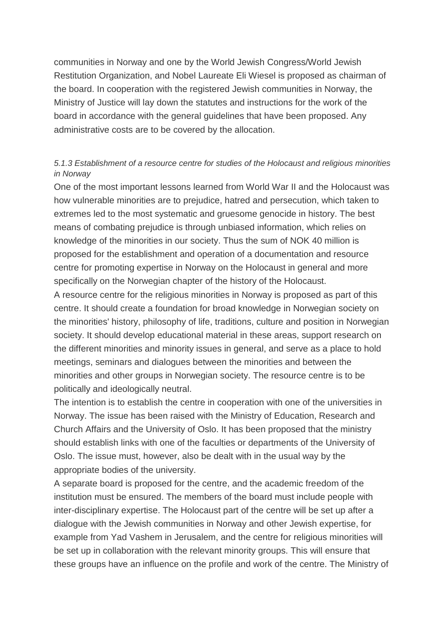communities in Norway and one by the World Jewish Congress/World Jewish Restitution Organization, and Nobel Laureate Eli Wiesel is proposed as chairman of the board. In cooperation with the registered Jewish communities in Norway, the Ministry of Justice will lay down the statutes and instructions for the work of the board in accordance with the general guidelines that have been proposed. Any administrative costs are to be covered by the allocation.

## *5.1.3 Establishment of a resource centre for studies of the Holocaust and religious minorities in Norway*

One of the most important lessons learned from World War II and the Holocaust was how vulnerable minorities are to prejudice, hatred and persecution, which taken to extremes led to the most systematic and gruesome genocide in history. The best means of combating prejudice is through unbiased information, which relies on knowledge of the minorities in our society. Thus the sum of NOK 40 million is proposed for the establishment and operation of a documentation and resource centre for promoting expertise in Norway on the Holocaust in general and more specifically on the Norwegian chapter of the history of the Holocaust.

A resource centre for the religious minorities in Norway is proposed as part of this centre. It should create a foundation for broad knowledge in Norwegian society on the minorities' history, philosophy of life, traditions, culture and position in Norwegian society. It should develop educational material in these areas, support research on the different minorities and minority issues in general, and serve as a place to hold meetings, seminars and dialogues between the minorities and between the minorities and other groups in Norwegian society. The resource centre is to be politically and ideologically neutral.

The intention is to establish the centre in cooperation with one of the universities in Norway. The issue has been raised with the Ministry of Education, Research and Church Affairs and the University of Oslo. It has been proposed that the ministry should establish links with one of the faculties or departments of the University of Oslo. The issue must, however, also be dealt with in the usual way by the appropriate bodies of the university.

A separate board is proposed for the centre, and the academic freedom of the institution must be ensured. The members of the board must include people with inter-disciplinary expertise. The Holocaust part of the centre will be set up after a dialogue with the Jewish communities in Norway and other Jewish expertise, for example from Yad Vashem in Jerusalem, and the centre for religious minorities will be set up in collaboration with the relevant minority groups. This will ensure that these groups have an influence on the profile and work of the centre. The Ministry of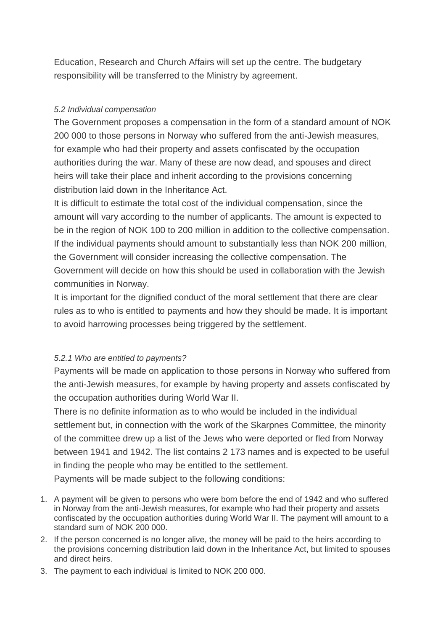Education, Research and Church Affairs will set up the centre. The budgetary responsibility will be transferred to the Ministry by agreement.

## *5.2 Individual compensation*

The Government proposes a compensation in the form of a standard amount of NOK 200 000 to those persons in Norway who suffered from the anti-Jewish measures, for example who had their property and assets confiscated by the occupation authorities during the war. Many of these are now dead, and spouses and direct heirs will take their place and inherit according to the provisions concerning distribution laid down in the Inheritance Act.

It is difficult to estimate the total cost of the individual compensation, since the amount will vary according to the number of applicants. The amount is expected to be in the region of NOK 100 to 200 million in addition to the collective compensation. If the individual payments should amount to substantially less than NOK 200 million, the Government will consider increasing the collective compensation. The Government will decide on how this should be used in collaboration with the Jewish communities in Norway.

It is important for the dignified conduct of the moral settlement that there are clear rules as to who is entitled to payments and how they should be made. It is important to avoid harrowing processes being triggered by the settlement.

# *5.2.1 Who are entitled to payments?*

Payments will be made on application to those persons in Norway who suffered from the anti-Jewish measures, for example by having property and assets confiscated by the occupation authorities during World War II.

There is no definite information as to who would be included in the individual settlement but, in connection with the work of the Skarpnes Committee, the minority of the committee drew up a list of the Jews who were deported or fled from Norway between 1941 and 1942. The list contains 2 173 names and is expected to be useful in finding the people who may be entitled to the settlement.

Payments will be made subject to the following conditions:

- 1. A payment will be given to persons who were born before the end of 1942 and who suffered in Norway from the anti-Jewish measures, for example who had their property and assets confiscated by the occupation authorities during World War II. The payment will amount to a standard sum of NOK 200 000.
- 2. If the person concerned is no longer alive, the money will be paid to the heirs according to the provisions concerning distribution laid down in the Inheritance Act, but limited to spouses and direct heirs.
- 3. The payment to each individual is limited to NOK 200 000.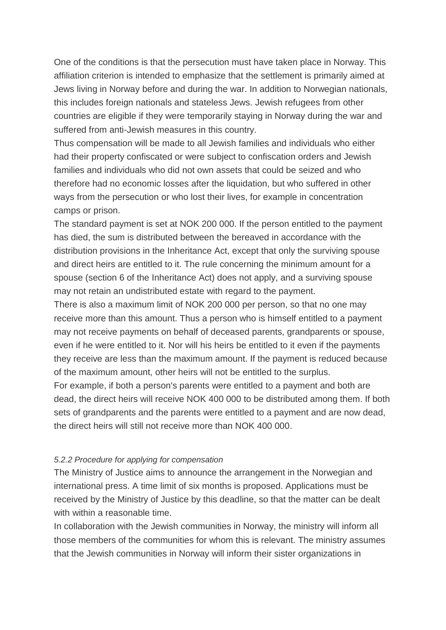One of the conditions is that the persecution must have taken place in Norway. This affiliation criterion is intended to emphasize that the settlement is primarily aimed at Jews living in Norway before and during the war. In addition to Norwegian nationals, this includes foreign nationals and stateless Jews. Jewish refugees from other countries are eligible if they were temporarily staying in Norway during the war and suffered from anti-Jewish measures in this country.

Thus compensation will be made to all Jewish families and individuals who either had their property confiscated or were subject to confiscation orders and Jewish families and individuals who did not own assets that could be seized and who therefore had no economic losses after the liquidation, but who suffered in other ways from the persecution or who lost their lives, for example in concentration camps or prison.

The standard payment is set at NOK 200 000. If the person entitled to the payment has died, the sum is distributed between the bereaved in accordance with the distribution provisions in the Inheritance Act, except that only the surviving spouse and direct heirs are entitled to it. The rule concerning the minimum amount for a spouse (section 6 of the Inheritance Act) does not apply, and a surviving spouse may not retain an undistributed estate with regard to the payment.

There is also a maximum limit of NOK 200 000 per person, so that no one may receive more than this amount. Thus a person who is himself entitled to a payment may not receive payments on behalf of deceased parents, grandparents or spouse, even if he were entitled to it. Nor will his heirs be entitled to it even if the payments they receive are less than the maximum amount. If the payment is reduced because of the maximum amount, other heirs will not be entitled to the surplus.

For example, if both a person's parents were entitled to a payment and both are dead, the direct heirs will receive NOK 400 000 to be distributed among them. If both sets of grandparents and the parents were entitled to a payment and are now dead, the direct heirs will still not receive more than NOK 400 000.

#### *5.2.2 Procedure for applying for compensation*

The Ministry of Justice aims to announce the arrangement in the Norwegian and international press. A time limit of six months is proposed. Applications must be received by the Ministry of Justice by this deadline, so that the matter can be dealt with within a reasonable time.

In collaboration with the Jewish communities in Norway, the ministry will inform all those members of the communities for whom this is relevant. The ministry assumes that the Jewish communities in Norway will inform their sister organizations in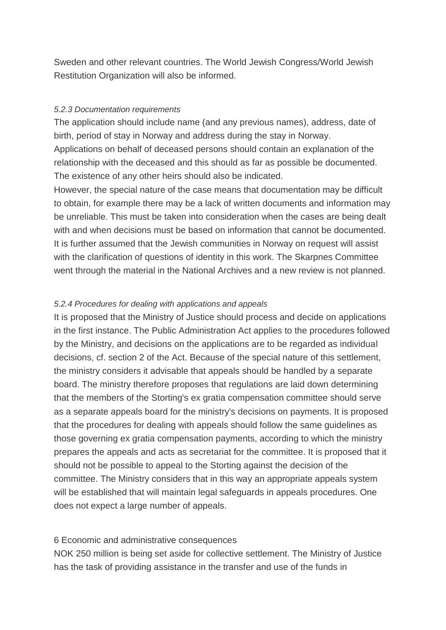Sweden and other relevant countries. The World Jewish Congress/World Jewish Restitution Organization will also be informed.

#### *5.2.3 Documentation requirements*

The application should include name (and any previous names), address, date of birth, period of stay in Norway and address during the stay in Norway. Applications on behalf of deceased persons should contain an explanation of the relationship with the deceased and this should as far as possible be documented. The existence of any other heirs should also be indicated.

However, the special nature of the case means that documentation may be difficult to obtain, for example there may be a lack of written documents and information may be unreliable. This must be taken into consideration when the cases are being dealt with and when decisions must be based on information that cannot be documented. It is further assumed that the Jewish communities in Norway on request will assist with the clarification of questions of identity in this work. The Skarpnes Committee went through the material in the National Archives and a new review is not planned.

# *5.2.4 Procedures for dealing with applications and appeals*

It is proposed that the Ministry of Justice should process and decide on applications in the first instance. The Public Administration Act applies to the procedures followed by the Ministry, and decisions on the applications are to be regarded as individual decisions, cf. section 2 of the Act. Because of the special nature of this settlement, the ministry considers it advisable that appeals should be handled by a separate board. The ministry therefore proposes that regulations are laid down determining that the members of the Storting's ex gratia compensation committee should serve as a separate appeals board for the ministry's decisions on payments. It is proposed that the procedures for dealing with appeals should follow the same guidelines as those governing ex gratia compensation payments, according to which the ministry prepares the appeals and acts as secretariat for the committee. It is proposed that it should not be possible to appeal to the Storting against the decision of the committee. The Ministry considers that in this way an appropriate appeals system will be established that will maintain legal safeguards in appeals procedures. One does not expect a large number of appeals.

# 6 Economic and administrative consequences

NOK 250 million is being set aside for collective settlement. The Ministry of Justice has the task of providing assistance in the transfer and use of the funds in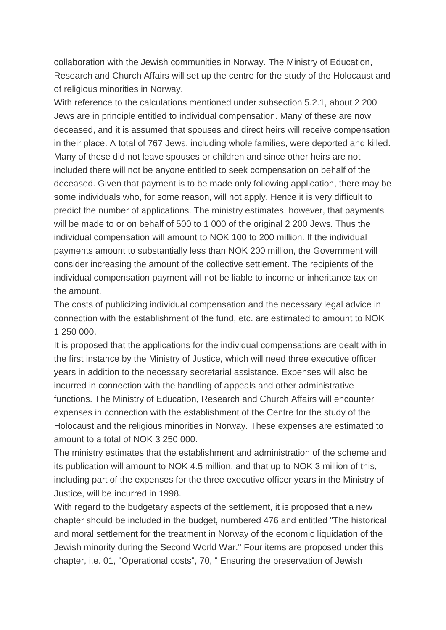collaboration with the Jewish communities in Norway. The Ministry of Education, Research and Church Affairs will set up the centre for the study of the Holocaust and of religious minorities in Norway.

With reference to the calculations mentioned under subsection 5.2.1, about 2 200 Jews are in principle entitled to individual compensation. Many of these are now deceased, and it is assumed that spouses and direct heirs will receive compensation in their place. A total of 767 Jews, including whole families, were deported and killed. Many of these did not leave spouses or children and since other heirs are not included there will not be anyone entitled to seek compensation on behalf of the deceased. Given that payment is to be made only following application, there may be some individuals who, for some reason, will not apply. Hence it is very difficult to predict the number of applications. The ministry estimates, however, that payments will be made to or on behalf of 500 to 1 000 of the original 2 200 Jews. Thus the individual compensation will amount to NOK 100 to 200 million. If the individual payments amount to substantially less than NOK 200 million, the Government will consider increasing the amount of the collective settlement. The recipients of the individual compensation payment will not be liable to income or inheritance tax on the amount.

The costs of publicizing individual compensation and the necessary legal advice in connection with the establishment of the fund, etc. are estimated to amount to NOK 1 250 000.

It is proposed that the applications for the individual compensations are dealt with in the first instance by the Ministry of Justice, which will need three executive officer years in addition to the necessary secretarial assistance. Expenses will also be incurred in connection with the handling of appeals and other administrative functions. The Ministry of Education, Research and Church Affairs will encounter expenses in connection with the establishment of the Centre for the study of the Holocaust and the religious minorities in Norway. These expenses are estimated to amount to a total of NOK 3 250 000.

The ministry estimates that the establishment and administration of the scheme and its publication will amount to NOK 4.5 million, and that up to NOK 3 million of this, including part of the expenses for the three executive officer years in the Ministry of Justice, will be incurred in 1998.

With regard to the budgetary aspects of the settlement, it is proposed that a new chapter should be included in the budget, numbered 476 and entitled "The historical and moral settlement for the treatment in Norway of the economic liquidation of the Jewish minority during the Second World War." Four items are proposed under this chapter, i.e. 01, "Operational costs", 70, " Ensuring the preservation of Jewish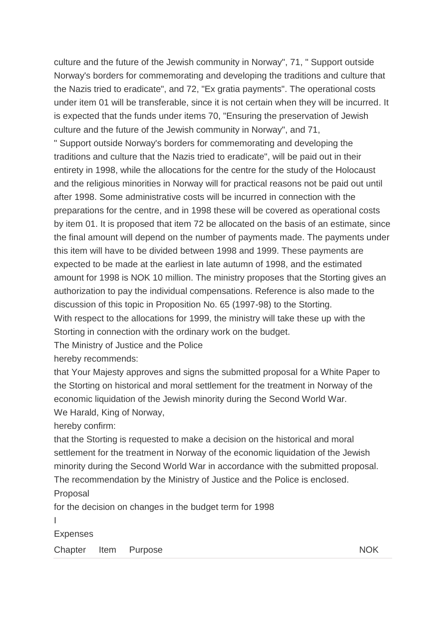culture and the future of the Jewish community in Norway", 71, " Support outside Norway's borders for commemorating and developing the traditions and culture that the Nazis tried to eradicate", and 72, "Ex gratia payments". The operational costs under item 01 will be transferable, since it is not certain when they will be incurred. It is expected that the funds under items 70, "Ensuring the preservation of Jewish culture and the future of the Jewish community in Norway", and 71,

" Support outside Norway's borders for commemorating and developing the traditions and culture that the Nazis tried to eradicate", will be paid out in their entirety in 1998, while the allocations for the centre for the study of the Holocaust and the religious minorities in Norway will for practical reasons not be paid out until after 1998. Some administrative costs will be incurred in connection with the preparations for the centre, and in 1998 these will be covered as operational costs by item 01. It is proposed that item 72 be allocated on the basis of an estimate, since the final amount will depend on the number of payments made. The payments under this item will have to be divided between 1998 and 1999. These payments are expected to be made at the earliest in late autumn of 1998, and the estimated amount for 1998 is NOK 10 million. The ministry proposes that the Storting gives an authorization to pay the individual compensations. Reference is also made to the discussion of this topic in Proposition No. 65 (1997-98) to the Storting. With respect to the allocations for 1999, the ministry will take these up with the Storting in connection with the ordinary work on the budget.

The Ministry of Justice and the Police

hereby recommends:

that Your Majesty approves and signs the submitted proposal for a White Paper to the Storting on historical and moral settlement for the treatment in Norway of the economic liquidation of the Jewish minority during the Second World War. We Harald, King of Norway,

hereby confirm:

that the Storting is requested to make a decision on the historical and moral settlement for the treatment in Norway of the economic liquidation of the Jewish minority during the Second World War in accordance with the submitted proposal. The recommendation by the Ministry of Justice and the Police is enclosed.

Proposal

for the decision on changes in the budget term for 1998

I

Expenses

Chapter Item Purpose and the set of the NOK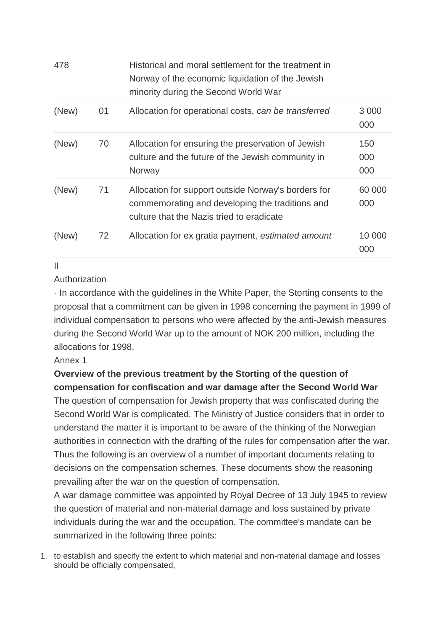| 478   |    | Historical and moral settlement for the treatment in<br>Norway of the economic liquidation of the Jewish<br>minority during the Second World War    |                   |
|-------|----|-----------------------------------------------------------------------------------------------------------------------------------------------------|-------------------|
| (New) | 01 | Allocation for operational costs, can be transferred                                                                                                | 3 0 0 0<br>000    |
| (New) | 70 | Allocation for ensuring the preservation of Jewish<br>culture and the future of the Jewish community in<br>Norway                                   | 150<br>000<br>000 |
| (New) | 71 | Allocation for support outside Norway's borders for<br>commemorating and developing the traditions and<br>culture that the Nazis tried to eradicate | 60 000<br>000     |
| (New) | 72 | Allocation for ex gratia payment, estimated amount                                                                                                  | 10 000<br>000     |

#### II

# Authorization

· In accordance with the guidelines in the White Paper, the Storting consents to the proposal that a commitment can be given in 1998 concerning the payment in 1999 of individual compensation to persons who were affected by the anti-Jewish measures during the Second World War up to the amount of NOK 200 million, including the allocations for 1998.

# Annex 1

# **Overview of the previous treatment by the Storting of the question of compensation for confiscation and war damage after the Second World War**

The question of compensation for Jewish property that was confiscated during the Second World War is complicated. The Ministry of Justice considers that in order to understand the matter it is important to be aware of the thinking of the Norwegian authorities in connection with the drafting of the rules for compensation after the war. Thus the following is an overview of a number of important documents relating to decisions on the compensation schemes. These documents show the reasoning prevailing after the war on the question of compensation.

A war damage committee was appointed by Royal Decree of 13 July 1945 to review the question of material and non-material damage and loss sustained by private individuals during the war and the occupation. The committee's mandate can be summarized in the following three points:

1. to establish and specify the extent to which material and non-material damage and losses should be officially compensated,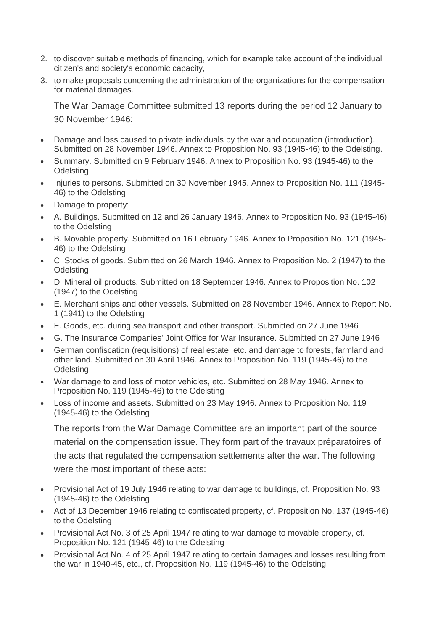- 2. to discover suitable methods of financing, which for example take account of the individual citizen's and society's economic capacity,
- 3. to make proposals concerning the administration of the organizations for the compensation for material damages.

The War Damage Committee submitted 13 reports during the period 12 January to 30 November 1946:

- Damage and loss caused to private individuals by the war and occupation (introduction). Submitted on 28 November 1946. Annex to Proposition No. 93 (1945-46) to the Odelsting.
- Summary. Submitted on 9 February 1946. Annex to Proposition No. 93 (1945-46) to the **Odelsting**
- Injuries to persons. Submitted on 30 November 1945. Annex to Proposition No. 111 (1945- 46) to the Odelsting
- Damage to property:
- A. Buildings. Submitted on 12 and 26 January 1946. Annex to Proposition No. 93 (1945-46) to the Odelsting
- B. Movable property. Submitted on 16 February 1946. Annex to Proposition No. 121 (1945- 46) to the Odelsting
- C. Stocks of goods. Submitted on 26 March 1946. Annex to Proposition No. 2 (1947) to the **Odelsting**
- D. Mineral oil products. Submitted on 18 September 1946. Annex to Proposition No. 102 (1947) to the Odelsting
- E. Merchant ships and other vessels. Submitted on 28 November 1946. Annex to Report No. 1 (1941) to the Odelsting
- F. Goods, etc. during sea transport and other transport. Submitted on 27 June 1946
- G. The Insurance Companies' Joint Office for War Insurance. Submitted on 27 June 1946
- German confiscation (requisitions) of real estate, etc. and damage to forests, farmland and other land. Submitted on 30 April 1946. Annex to Proposition No. 119 (1945-46) to the **Odelsting**
- War damage to and loss of motor vehicles, etc. Submitted on 28 May 1946. Annex to Proposition No. 119 (1945-46) to the Odelsting
- Loss of income and assets. Submitted on 23 May 1946. Annex to Proposition No. 119 (1945-46) to the Odelsting

The reports from the War Damage Committee are an important part of the source material on the compensation issue. They form part of the travaux préparatoires of the acts that regulated the compensation settlements after the war. The following were the most important of these acts:

- Provisional Act of 19 July 1946 relating to war damage to buildings, cf. Proposition No. 93 (1945-46) to the Odelsting
- Act of 13 December 1946 relating to confiscated property, cf. Proposition No. 137 (1945-46) to the Odelsting
- Provisional Act No. 3 of 25 April 1947 relating to war damage to movable property, cf. Proposition No. 121 (1945-46) to the Odelsting
- Provisional Act No. 4 of 25 April 1947 relating to certain damages and losses resulting from the war in 1940-45, etc., cf. Proposition No. 119 (1945-46) to the Odelsting